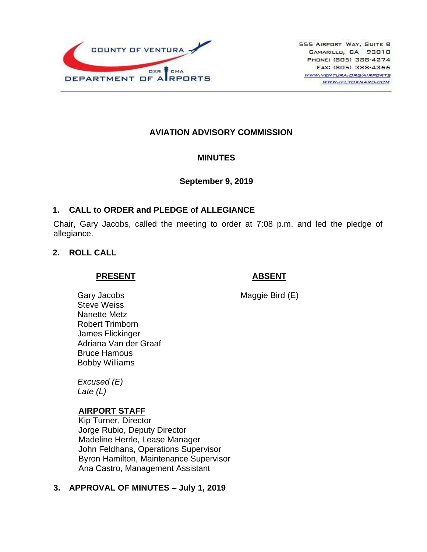

# **AVIATION ADVISORY COMMISSION**

### **MINUTES**

### **September 9, 2019**

## **1. CALL to ORDER and PLEDGE of ALLEGIANCE**

Chair, Gary Jacobs, called the meeting to order at 7:08 p.m. and led the pledge of allegiance.

## **2. ROLL CALL**

### **PRESENT**

## **ABSENT**

Maggie Bird (E)

Gary Jacobs Steve Weiss Nanette Metz Robert Trimborn James Flickinger Adriana Van der Graaf Bruce Hamous Bobby Williams

*Excused (E) Late (L)*

## **AIRPORT STAFF**

Kip Turner, Director Jorge Rubio, Deputy Director Madeline Herrle, Lease Manager John Feldhans, Operations Supervisor Byron Hamilton, Maintenance Supervisor Ana Castro, Management Assistant

## **3. APPROVAL OF MINUTES – July 1, 2019**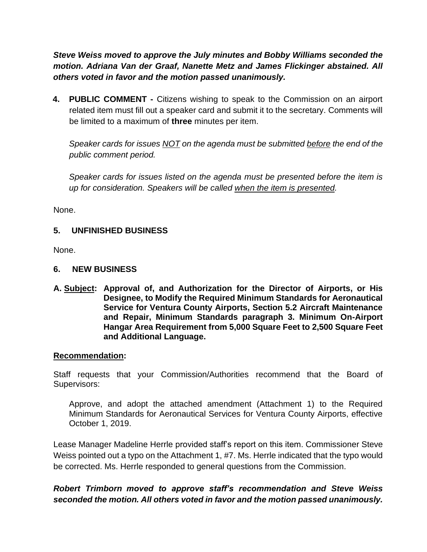*Steve Weiss moved to approve the July minutes and Bobby Williams seconded the motion. Adriana Van der Graaf, Nanette Metz and James Flickinger abstained. All others voted in favor and the motion passed unanimously.*

**4. PUBLIC COMMENT -** Citizens wishing to speak to the Commission on an airport related item must fill out a speaker card and submit it to the secretary. Comments will be limited to a maximum of **three** minutes per item.

*Speaker cards for issues NOT on the agenda must be submitted before the end of the public comment period.* 

*Speaker cards for issues listed on the agenda must be presented before the item is up for consideration. Speakers will be called when the item is presented.*

None.

### **5. UNFINISHED BUSINESS**

None.

### **6. NEW BUSINESS**

**A. Subject: Approval of, and Authorization for the Director of Airports, or His Designee, to Modify the Required Minimum Standards for Aeronautical Service for Ventura County Airports, Section 5.2 Aircraft Maintenance and Repair, Minimum Standards paragraph 3. Minimum On-Airport Hangar Area Requirement from 5,000 Square Feet to 2,500 Square Feet and Additional Language.**

### **Recommendation:**

Staff requests that your Commission/Authorities recommend that the Board of Supervisors:

Approve, and adopt the attached amendment (Attachment 1) to the Required Minimum Standards for Aeronautical Services for Ventura County Airports, effective October 1, 2019.

Lease Manager Madeline Herrle provided staff's report on this item. Commissioner Steve Weiss pointed out a typo on the Attachment 1, #7. Ms. Herrle indicated that the typo would be corrected. Ms. Herrle responded to general questions from the Commission.

# *Robert Trimborn moved to approve staff's recommendation and Steve Weiss seconded the motion. All others voted in favor and the motion passed unanimously.*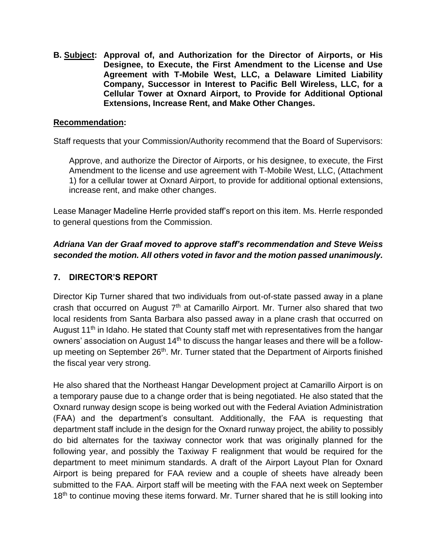**B. Subject: Approval of, and Authorization for the Director of Airports, or His Designee, to Execute, the First Amendment to the License and Use Agreement with T-Mobile West, LLC, a Delaware Limited Liability Company, Successor in Interest to Pacific Bell Wireless, LLC, for a Cellular Tower at Oxnard Airport, to Provide for Additional Optional Extensions, Increase Rent, and Make Other Changes.**

## **Recommendation:**

Staff requests that your Commission/Authority recommend that the Board of Supervisors:

Approve, and authorize the Director of Airports, or his designee, to execute, the First Amendment to the license and use agreement with T-Mobile West, LLC, (Attachment 1) for a cellular tower at Oxnard Airport, to provide for additional optional extensions, increase rent, and make other changes.

Lease Manager Madeline Herrle provided staff's report on this item. Ms. Herrle responded to general questions from the Commission.

# *Adriana Van der Graaf moved to approve staff's recommendation and Steve Weiss seconded the motion. All others voted in favor and the motion passed unanimously.*

# **7. DIRECTOR'S REPORT**

Director Kip Turner shared that two individuals from out-of-state passed away in a plane crash that occurred on August  $7<sup>th</sup>$  at Camarillo Airport. Mr. Turner also shared that two local residents from Santa Barbara also passed away in a plane crash that occurred on August 11<sup>th</sup> in Idaho. He stated that County staff met with representatives from the hangar owners' association on August 14<sup>th</sup> to discuss the hangar leases and there will be a followup meeting on September 26<sup>th</sup>. Mr. Turner stated that the Department of Airports finished the fiscal year very strong.

He also shared that the Northeast Hangar Development project at Camarillo Airport is on a temporary pause due to a change order that is being negotiated. He also stated that the Oxnard runway design scope is being worked out with the Federal Aviation Administration (FAA) and the department's consultant. Additionally, the FAA is requesting that department staff include in the design for the Oxnard runway project, the ability to possibly do bid alternates for the taxiway connector work that was originally planned for the following year, and possibly the Taxiway F realignment that would be required for the department to meet minimum standards. A draft of the Airport Layout Plan for Oxnard Airport is being prepared for FAA review and a couple of sheets have already been submitted to the FAA. Airport staff will be meeting with the FAA next week on September 18<sup>th</sup> to continue moving these items forward. Mr. Turner shared that he is still looking into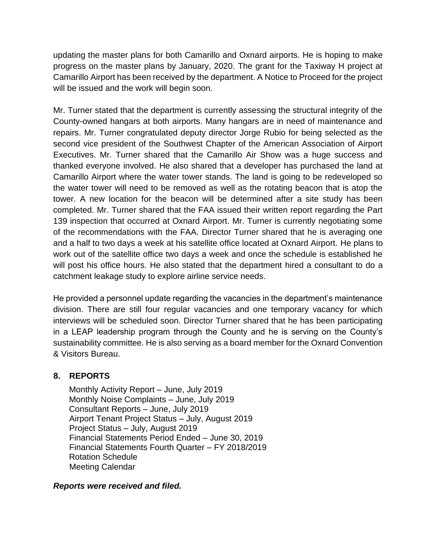updating the master plans for both Camarillo and Oxnard airports. He is hoping to make progress on the master plans by January, 2020. The grant for the Taxiway H project at Camarillo Airport has been received by the department. A Notice to Proceed for the project will be issued and the work will begin soon.

Mr. Turner stated that the department is currently assessing the structural integrity of the County-owned hangars at both airports. Many hangars are in need of maintenance and repairs. Mr. Turner congratulated deputy director Jorge Rubio for being selected as the second vice president of the Southwest Chapter of the American Association of Airport Executives. Mr. Turner shared that the Camarillo Air Show was a huge success and thanked everyone involved. He also shared that a developer has purchased the land at Camarillo Airport where the water tower stands. The land is going to be redeveloped so the water tower will need to be removed as well as the rotating beacon that is atop the tower. A new location for the beacon will be determined after a site study has been completed. Mr. Turner shared that the FAA issued their written report regarding the Part 139 inspection that occurred at Oxnard Airport. Mr. Turner is currently negotiating some of the recommendations with the FAA. Director Turner shared that he is averaging one and a half to two days a week at his satellite office located at Oxnard Airport. He plans to work out of the satellite office two days a week and once the schedule is established he will post his office hours. He also stated that the department hired a consultant to do a catchment leakage study to explore airline service needs.

He provided a personnel update regarding the vacancies in the department's maintenance division. There are still four regular vacancies and one temporary vacancy for which interviews will be scheduled soon. Director Turner shared that he has been participating in a LEAP leadership program through the County and he is serving on the County's sustainability committee. He is also serving as a board member for the Oxnard Convention & Visitors Bureau.

## **8. REPORTS**

Monthly Activity Report – June, July 2019 Monthly Noise Complaints – June, July 2019 Consultant Reports – June, July 2019 Airport Tenant Project Status – July, August 2019 Project Status – July, August 2019 Financial Statements Period Ended – June 30, 2019 Financial Statements Fourth Quarter – FY 2018/2019 Rotation Schedule Meeting Calendar

## *Reports were received and filed.*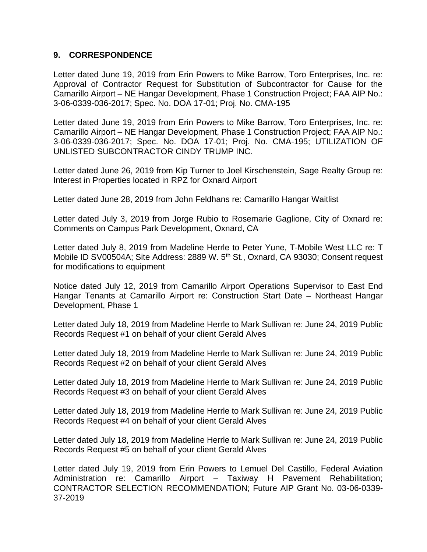## **9. CORRESPONDENCE**

Letter dated June 19, 2019 from Erin Powers to Mike Barrow, Toro Enterprises, Inc. re: Approval of Contractor Request for Substitution of Subcontractor for Cause for the Camarillo Airport – NE Hangar Development, Phase 1 Construction Project; FAA AIP No.: 3-06-0339-036-2017; Spec. No. DOA 17-01; Proj. No. CMA-195

Letter dated June 19, 2019 from Erin Powers to Mike Barrow, Toro Enterprises, Inc. re: Camarillo Airport – NE Hangar Development, Phase 1 Construction Project; FAA AIP No.: 3-06-0339-036-2017; Spec. No. DOA 17-01; Proj. No. CMA-195; UTILIZATION OF UNLISTED SUBCONTRACTOR CINDY TRUMP INC.

Letter dated June 26, 2019 from Kip Turner to Joel Kirschenstein, Sage Realty Group re: Interest in Properties located in RPZ for Oxnard Airport

Letter dated June 28, 2019 from John Feldhans re: Camarillo Hangar Waitlist

Letter dated July 3, 2019 from Jorge Rubio to Rosemarie Gaglione, City of Oxnard re: Comments on Campus Park Development, Oxnard, CA

Letter dated July 8, 2019 from Madeline Herrle to Peter Yune, T-Mobile West LLC re: T Mobile ID SV00504A; Site Address: 2889 W. 5<sup>th</sup> St., Oxnard, CA 93030; Consent request for modifications to equipment

Notice dated July 12, 2019 from Camarillo Airport Operations Supervisor to East End Hangar Tenants at Camarillo Airport re: Construction Start Date – Northeast Hangar Development, Phase 1

Letter dated July 18, 2019 from Madeline Herrle to Mark Sullivan re: June 24, 2019 Public Records Request #1 on behalf of your client Gerald Alves

Letter dated July 18, 2019 from Madeline Herrle to Mark Sullivan re: June 24, 2019 Public Records Request #2 on behalf of your client Gerald Alves

Letter dated July 18, 2019 from Madeline Herrle to Mark Sullivan re: June 24, 2019 Public Records Request #3 on behalf of your client Gerald Alves

Letter dated July 18, 2019 from Madeline Herrle to Mark Sullivan re: June 24, 2019 Public Records Request #4 on behalf of your client Gerald Alves

Letter dated July 18, 2019 from Madeline Herrle to Mark Sullivan re: June 24, 2019 Public Records Request #5 on behalf of your client Gerald Alves

Letter dated July 19, 2019 from Erin Powers to Lemuel Del Castillo, Federal Aviation Administration re: Camarillo Airport – Taxiway H Pavement Rehabilitation; CONTRACTOR SELECTION RECOMMENDATION; Future AIP Grant No. 03-06-0339- 37-2019